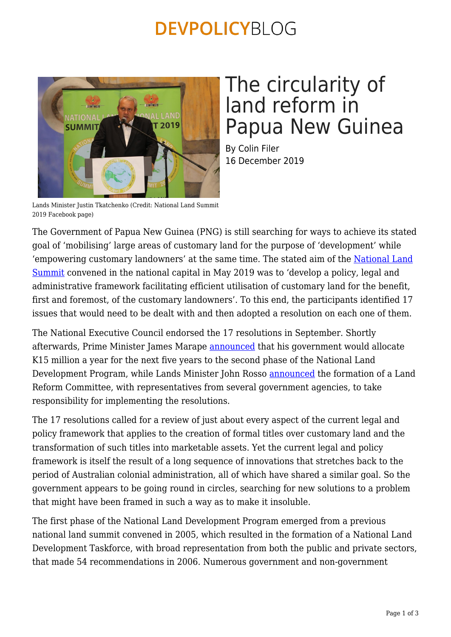## **DEVPOLICYBLOG**



# The circularity of land reform in Papua New Guinea

By Colin Filer 16 December 2019

Lands Minister Justin Tkatchenko (Credit: National Land Summit 2019 Facebook page)

The Government of Papua New Guinea (PNG) is still searching for ways to achieve its stated goal of 'mobilising' large areas of customary land for the purpose of 'development' while 'empowering customary landowners' at the same time. The stated aim of the [National Land](https://pngnri.org/images/Public_Notice/CO_37X14_4C_NRI_NU_final.pdf) [Summit](https://pngnri.org/images/Public_Notice/CO_37X14_4C_NRI_NU_final.pdf) convened in the national capital in May 2019 was to 'develop a policy, legal and administrative framework facilitating efficient utilisation of customary land for the benefit, first and foremost, of the customary landowners'. To this end, the participants identified 17 issues that would need to be dealt with and then adopted a resolution on each one of them.

The National Executive Council endorsed the 17 resolutions in September. Shortly afterwards, Prime Minister James Marape [announced](https://www.thenational.com.pg/funds-for-land-reform/) that his government would allocate K15 million a year for the next five years to the second phase of the National Land Development Program, while Lands Minister John Rosso [announced](https://www.thenational.com.pg/programmes-second-phase-to-be-enforced-next-year/) the formation of a Land Reform Committee, with representatives from several government agencies, to take responsibility for implementing the resolutions.

The 17 resolutions called for a review of just about every aspect of the current legal and policy framework that applies to the creation of formal titles over customary land and the transformation of such titles into marketable assets. Yet the current legal and policy framework is itself the result of a long sequence of innovations that stretches back to the period of Australian colonial administration, all of which have shared a similar goal. So the government appears to be going round in circles, searching for new solutions to a problem that might have been framed in such a way as to make it insoluble.

The first phase of the National Land Development Program emerged from a previous national land summit convened in 2005, which resulted in the formation of a National Land Development Taskforce, with broad representation from both the public and private sectors, that made 54 recommendations in 2006. Numerous government and non-government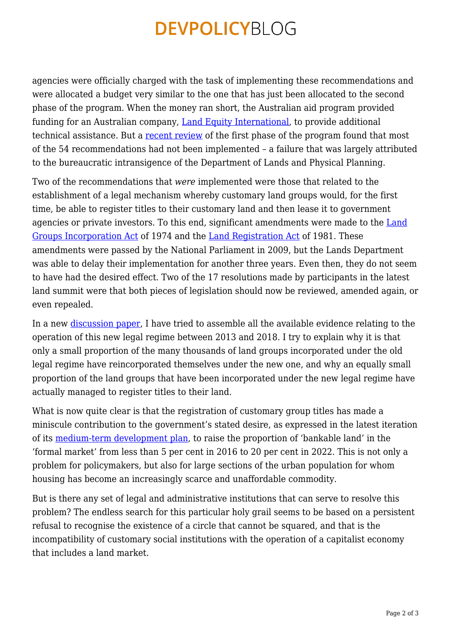## **DEVPOLICYBLOG**

agencies were officially charged with the task of implementing these recommendations and were allocated a budget very similar to the one that has just been allocated to the second phase of the program. When the money ran short, the Australian aid program provided funding for an Australian company, [Land Equity International,](http://www.landequity.com.au/projects/national-land-development-program/) to provide additional technical assistance. But a [recent review](https://pngnri.org/images/Publications/Discussion_Paper_160.pdf) of the first phase of the program found that most of the 54 recommendations had not been implemented – a failure that was largely attributed to the bureaucratic intransigence of the Department of Lands and Physical Planning.

Two of the recommendations that *were* implemented were those that related to the establishment of a legal mechanism whereby customary land groups would, for the first time, be able to register titles to their customary land and then lease it to government agencies or private investors. To this end, significant amendments were made to the [Land](http://www.paclii.org/pg/legis/num_act/lgia2009372/) [Groups Incorporation Act](http://www.paclii.org/pg/legis/num_act/lgia2009372/) of 1974 and the [Land Registration Act](http://www.paclii.org/pg/legis/num_act/lra2009271/) of 1981. These amendments were passed by the National Parliament in 2009, but the Lands Department was able to delay their implementation for another three years. Even then, they do not seem to have had the desired effect. Two of the 17 resolutions made by participants in the latest land summit were that both pieces of legislation should now be reviewed, amended again, or even repealed.

In a new [discussion paper](https://devpolicy.crawford.anu.edu.au/publications/discussion-papers), I have tried to assemble all the available evidence relating to the operation of this new legal regime between 2013 and 2018. I try to explain why it is that only a small proportion of the many thousands of land groups incorporated under the old legal regime have reincorporated themselves under the new one, and why an equally small proportion of the land groups that have been incorporated under the new legal regime have actually managed to register titles to their land.

What is now quite clear is that the registration of customary group titles has made a miniscule contribution to the government's stated desire, as expressed in the latest iteration of its [medium-term development plan](http://www.planning.gov.pg/images/dnpm/pdf/latest_pub/MTDP%20III%20Vol1-%20Web-compressed.pdf), to raise the proportion of 'bankable land' in the 'formal market' from less than 5 per cent in 2016 to 20 per cent in 2022. This is not only a problem for policymakers, but also for large sections of the urban population for whom housing has become an increasingly scarce and unaffordable commodity.

But is there any set of legal and administrative institutions that can serve to resolve this problem? The endless search for this particular holy grail seems to be based on a persistent refusal to recognise the existence of a circle that cannot be squared, and that is the incompatibility of customary social institutions with the operation of a capitalist economy that includes a land market.